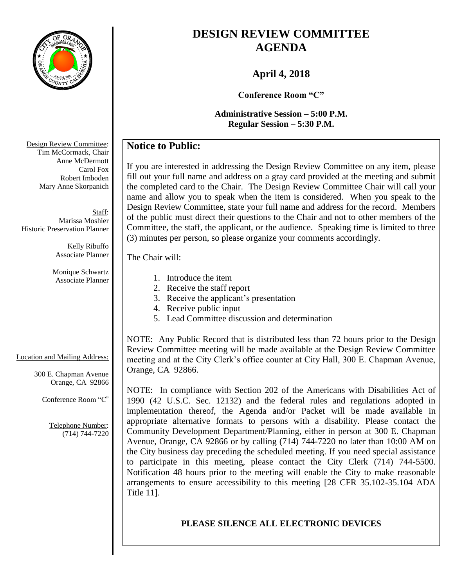

# **DESIGN REVIEW COMMITTEE AGENDA**

## **April 4, 2018**

**Conference Room "C"**

**Administrative Session – 5:00 P.M. Regular Session – 5:30 P.M.**

## **Notice to Public:**

If you are interested in addressing the Design Review Committee on any item, please fill out your full name and address on a gray card provided at the meeting and submit the completed card to the Chair. The Design Review Committee Chair will call your name and allow you to speak when the item is considered. When you speak to the Design Review Committee, state your full name and address for the record. Members of the public must direct their questions to the Chair and not to other members of the Committee, the staff, the applicant, or the audience. Speaking time is limited to three (3) minutes per person, so please organize your comments accordingly.

The Chair will:

### Location and Mailing Address:

300 E. Chapman Avenue Orange, CA 92866

Conference Room "C"

Telephone Number: (714) 744-7220

- 1. Introduce the item
- 2. Receive the staff report
- 3. Receive the applicant's presentation
- 4. Receive public input
- 5. Lead Committee discussion and determination

NOTE: Any Public Record that is distributed less than 72 hours prior to the Design Review Committee meeting will be made available at the Design Review Committee meeting and at the City Clerk's office counter at City Hall, 300 E. Chapman Avenue, Orange, CA 92866.

NOTE: In compliance with Section 202 of the Americans with Disabilities Act of 1990 (42 U.S.C. Sec. 12132) and the federal rules and regulations adopted in implementation thereof, the Agenda and/or Packet will be made available in appropriate alternative formats to persons with a disability. Please contact the Community Development Department/Planning, either in person at 300 E. Chapman Avenue, Orange, CA 92866 or by calling (714) 744-7220 no later than 10:00 AM on the City business day preceding the scheduled meeting. If you need special assistance to participate in this meeting, please contact the City Clerk (714) 744-5500. Notification 48 hours prior to the meeting will enable the City to make reasonable arrangements to ensure accessibility to this meeting [28 CFR 35.102-35.104 ADA Title 11].

### **PLEASE SILENCE ALL ELECTRONIC DEVICES**

Design Review Committee: Tim McCormack, Chair Anne McDermott Carol Fox Robert Imboden Mary Anne Skorpanich

Staff: Marissa Moshier Historic Preservation Planner

> Kelly Ribuffo Associate Planner

Monique Schwartz Associate Planner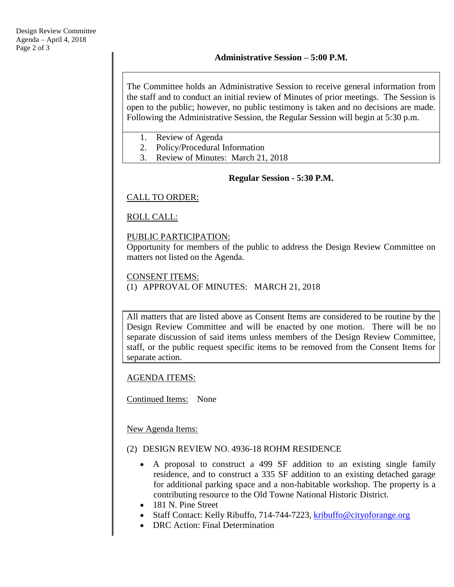The Committee holds an Administrative Session to receive general information from the staff and to conduct an initial review of Minutes of prior meetings. The Session is open to the public; however, no public testimony is taken and no decisions are made. Following the Administrative Session, the Regular Session will begin at 5:30 p.m.

- 1. Review of Agenda
- 2. Policy/Procedural Information
- 3. Review of Minutes: March 21, 2018

#### **Regular Session - 5:30 P.M.**

### CALL TO ORDER:

ROLL CALL:

#### PUBLIC PARTICIPATION:

Opportunity for members of the public to address the Design Review Committee on matters not listed on the Agenda.

#### CONSENT ITEMS:

(1) APPROVAL OF MINUTES: MARCH 21, 2018

All matters that are listed above as Consent Items are considered to be routine by the Design Review Committee and will be enacted by one motion. There will be no separate discussion of said items unless members of the Design Review Committee, staff, or the public request specific items to be removed from the Consent Items for separate action.

AGENDA ITEMS:

Continued Items: None

New Agenda Items:

#### (2) DESIGN REVIEW NO. 4936-18 ROHM RESIDENCE

- A proposal to construct a 499 SF addition to an existing single family residence, and to construct a 335 SF addition to an existing detached garage for additional parking space and a non-habitable workshop. The property is a contributing resource to the Old Towne National Historic District.
- 181 N. Pine Street
- Staff Contact: Kelly Ribuffo, 714-744-7223, [kribuffo@cityoforange.org](mailto:kribuffo@cityoforange.org)
- DRC Action: Final Determination